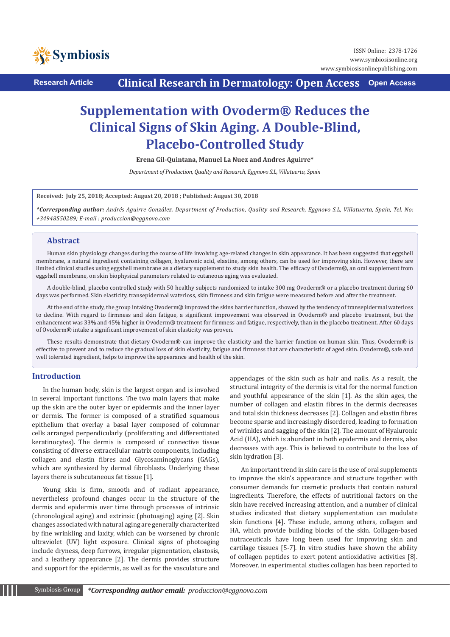

**Research Article Clinical Research in Dermatology: Open Access Open Access**

# **Supplementation with Ovoderm® Reduces the Clinical Signs of Skin Aging. A Double-Blind, Placebo-Controlled Study**

**Erena Gil-Quintana, Manuel La Nuez and Andres Aguirre\***

*Department of Production, Quality and Research, Eggnovo S.L, Villatuerta, Spain*

**Received: July 25, 2018; Accepted: August 20, 2018 ; Published: August 30, 2018**

*\*Corresponding author: Andrés Aguirre González. Department of Production, Quality and Research, Eggnovo S.L, Villatuerta, Spain, Tel. No: +34948550289; E-mail : produccion@eggnovo.com* 

## **Abstract**

Human skin physiology changes during the course of life involving age-related changes in skin appearance. It has been suggested that eggshell membrane, a natural ingredient containing collagen, hyaluronic acid, elastine, among others, can be used for improving skin. However, there are limited clinical studies using eggshell membrane as a dietary supplement to study skin health. The efficacy of Ovoderm®, an oral supplement from eggshell membrane, on skin biophysical parameters related to cutaneous aging was evaluated.

A double-blind, placebo controlled study with 50 healthy subjects randomized to intake 300 mg Ovoderm® or a placebo treatment during 60 days was performed. Skin elasticity, transepidermal waterloss, skin firmness and skin fatigue were measured before and after the treatment.

At the end of the study, the group intaking Ovoderm® improved the skins barrier function, showed by the tendency of transepidermal waterloss to decline. With regard to firmness and skin fatigue, a significant improvement was observed in Ovoderm® and placebo treatment, but the enhancement was 33% and 45% higher in Ovoderm® treatment for firmness and fatigue, respectively, than in the placebo treatment. After 60 days of Ovoderm® intake a significant improvement of skin elasticity was proven.

These results demonstrate that dietary Ovoderm® can improve the elasticity and the barrier function on human skin. Thus, Ovoderm® is effective to prevent and to reduce the gradual loss of skin elasticity, fatigue and firmness that are characteristic of aged skin. Ovoderm®, safe and well tolerated ingredient, helps to improve the appearance and health of the skin.

## **Introduction**

In the human body, skin is the largest organ and is involved in several important functions. The two main layers that make up the skin are the outer layer or epidermis and the inner layer or dermis. The former is composed of a stratified squamous epithelium that overlay a basal layer composed of columnar cells arranged perpendicularly (proliferating and differentiated keratinocytes). The dermis is composed of connective tissue consisting of diverse extracellular matrix components, including collagen and elastin fibres and Glycosaminoglycans (GAGs), which are synthesized by dermal fibroblasts. Underlying these layers there is subcutaneous fat tissue [1].

Young skin is firm, smooth and of radiant appearance, nevertheless profound changes occur in the structure of the dermis and epidermis over time through processes of intrinsic (chronological aging) and extrinsic (photoaging) aging [2]. Skin changes associated with natural aging are generally characterized by fine wrinkling and laxity, which can be worsened by chronic ultraviolet (UV) light exposure. Clinical signs of photoaging include dryness, deep furrows, irregular pigmentation, elastosis, and a leathery appearance [2]. The dermis provides structure and support for the epidermis, as well as for the vasculature and appendages of the skin such as hair and nails. As a result, the structural integrity of the dermis is vital for the normal function and youthful appearance of the skin [1]. As the skin ages, the number of collagen and elastin fibres in the dermis decreases and total skin thickness decreases [2]. Collagen and elastin fibres become sparse and increasingly disordered, leading to formation of wrinkles and sagging of the skin [2]. The amount of Hyaluronic Acid (HA), which is abundant in both epidermis and dermis, also decreases with age. This is believed to contribute to the loss of skin hydration [3].

An important trend in skin care is the use of oral supplements to improve the skin's appearance and structure together with consumer demands for cosmetic products that contain natural ingredients. Therefore, the effects of nutritional factors on the skin have received increasing attention, and a number of clinical studies indicated that dietary supplementation can modulate skin functions [4]. These include, among others, collagen and HA, which provide building blocks of the skin. Collagen-based nutraceuticals have long been used for improving skin and cartilage tissues [5-7]. In vitro studies have shown the ability of collagen peptides to exert potent antioxidative activities [8]. Moreover, in experimental studies collagen has been reported to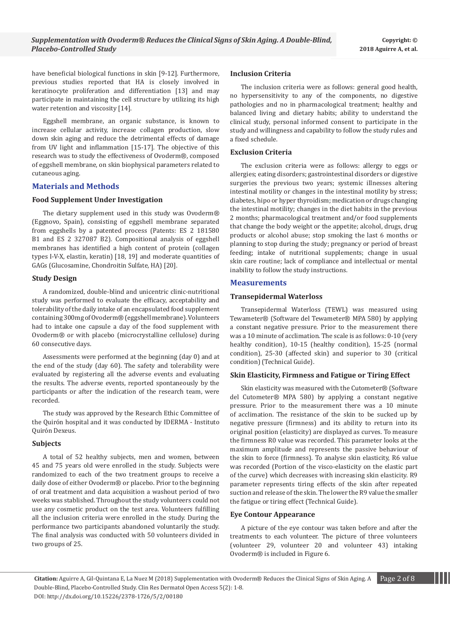have beneficial biological functions in skin [9-12]. Furthermore, previous studies reported that HA is closely involved in keratinocyte proliferation and differentiation [13] and may participate in maintaining the cell structure by utilizing its high water retention and viscosity [14].

Eggshell membrane, an organic substance, is known to increase cellular activity, increase collagen production, slow down skin aging and reduce the detrimental effects of damage from UV light and inflammation [15-17]. The objective of this research was to study the effectiveness of Ovoderm®, composed of eggshell membrane, on skin biophysical parameters related to cutaneous aging.

## **Materials and Methods**

### **Food Supplement Under Investigation**

The dietary supplement used in this study was Ovoderm® (Eggnovo, Spain), consisting of eggshell membrane separated from eggshells by a patented process (Patents: ES 2 181580 B1 and ES 2 327087 B2). Compositional analysis of eggshell membranes has identified a high content of protein (collagen types I-V-X, elastin, keratin) [18, 19] and moderate quantities of GAGs (Glucosamine, Chondroitin Sulfate, HA) [20].

## **Study Design**

A randomized, double-blind and unicentric clinic-nutritional study was performed to evaluate the efficacy, acceptability and tolerability of the daily intake of an encapsulated food supplement containing 300mg of Ovoderm® (eggshell membrane). Volunteers had to intake one capsule a day of the food supplement with Ovoderm® or with placebo (microcrystalline cellulose) during 60 consecutive days.

Assessments were performed at the beginning (day 0) and at the end of the study (day 60). The safety and tolerability were evaluated by registering all the adverse events and evaluating the results. The adverse events, reported spontaneously by the participants or after the indication of the research team, were recorded.

The study was approved by the Research Ethic Committee of the Quirón hospital and it was conducted by IDERMA - Instituto Quirón Dexeus.

#### **Subjects**

A total of 52 healthy subjects, men and women, between 45 and 75 years old were enrolled in the study. Subjects were randomized to each of the two treatment groups to receive a daily dose of either Ovoderm® or placebo. Prior to the beginning of oral treatment and data acquisition a washout period of two weeks was stablished. Throughout the study volunteers could not use any cosmetic product on the test area. Volunteers fulfilling all the inclusion criteria were enrolled in the study. During the performance two participants abandoned voluntarily the study. The final analysis was conducted with 50 volunteers divided in two groups of 25.

#### **Inclusion Criteria**

The inclusion criteria were as follows: general good health, no hypersensitivity to any of the components, no digestive pathologies and no in pharmacological treatment; healthy and balanced living and dietary habits; ability to understand the clinical study, personal informed consent to participate in the study and willingness and capability to follow the study rules and a fixed schedule.

#### **Exclusion Criteria**

The exclusion criteria were as follows: allergy to eggs or allergies; eating disorders; gastrointestinal disorders or digestive surgeries the previous two years; systemic illnesses altering intestinal motility or changes in the intestinal motility by stress; diabetes, hipo or hyper thyroidism; medication or drugs changing the intestinal motility; changes in the diet habits in the previous 2 months; pharmacological treatment and/or food supplements that change the body weight or the appetite; alcohol, drugs, drug products or alcohol abuse; stop smoking the last 6 months or planning to stop during the study; pregnancy or period of breast feeding; intake of nutritional supplements; change in usual skin care routine; lack of compliance and intellectual or mental inability to follow the study instructions.

## **Measurements**

### **Transepidermal Waterloss**

Transepidermal Waterloss (TEWL) was measured using Tewameter® (Software del Tewameter® MPA 580) by applying a constant negative pressure. Prior to the measurement there was a 10 minute of acclimation. The scale is as follows: 0-10 (very healthy condition), 10-15 (healthy condition), 15-25 (normal condition), 25-30 (affected skin) and superior to 30 (critical condition) (Technical Guide).

## **Skin Elasticity, Firmness and Fatigue or Tiring Effect**

Skin elasticity was measured with the Cutometer® (Software del Cutometer® MPA 580) by applying a constant negative pressure. Prior to the measurement there was a 10 minute of acclimation. The resistance of the skin to be sucked up by negative pressure (firmness) and its ability to return into its original position (elasticity) are displayed as curves. To measure the firmness R0 value was recorded. This parameter looks at the maximum amplitude and represents the passive behaviour of the skin to force (firmness). To analyse skin elasticity, R6 value was recorded (Portion of the visco-elasticity on the elastic part of the curve) which decreases with increasing skin elasticity. R9 parameter represents tiring effects of the skin after repeated suction and release of the skin. The lower the R9 value the smaller the fatigue or tiring effect (Technical Guide).

#### **Eye Contour Appearance**

A picture of the eye contour was taken before and after the treatments to each volunteer. The picture of three volunteers (volunteer 29, volunteer 20 and volunteer 43) intaking Ovoderm® is included in Figure 6.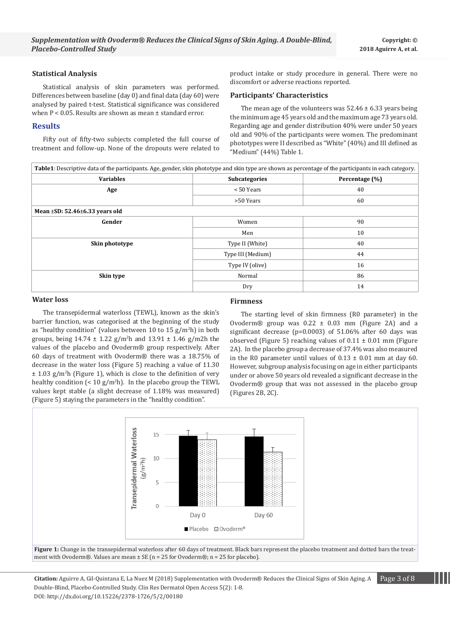#### **Statistical Analysis**

Statistical analysis of skin parameters was performed. Differences between baseline (day 0) and final data (day 60) were analysed by paired t-test. Statistical significance was considered when P < 0.05. Results are shown as mean ± standard error.

## **Results**

Fifty out of fifty-two subjects completed the full course of treatment and follow-up. None of the dropouts were related to product intake or study procedure in general. There were no discomfort or adverse reactions reported.

## **Participants' Characteristics**

The mean age of the volunteers was  $52.46 \pm 6.33$  years being the minimum age 45 years old and the maximum age 73 years old. Regarding age and gender distribution 40% were under 50 years old and 90% of the participants were women. The predominant phototypes were II described as "White" (40%) and III defined as "Medium" (44%) Table 1.

| Table1: Descriptive data of the participants. Age, gender, skin phototype and skin type are shown as percentage of the participants in each category. |                      |                |
|-------------------------------------------------------------------------------------------------------------------------------------------------------|----------------------|----------------|
| <b>Variables</b>                                                                                                                                      | <b>Subcategories</b> | Percentage (%) |
| Age                                                                                                                                                   | < 50 Years           | 40             |
|                                                                                                                                                       | >50 Years            | 60             |
| Mean $\pm$ SD: 52.46 $\pm$ 6.33 years old                                                                                                             |                      |                |
| Gender                                                                                                                                                | Women                | 90             |
|                                                                                                                                                       | Men                  | 10             |
| Skin phototype                                                                                                                                        | Type II (White)      | 40             |
|                                                                                                                                                       | Type III (Medium)    | 44             |
|                                                                                                                                                       | Type IV (olive)      | 16             |
| Skin type                                                                                                                                             | Normal               | 86             |
|                                                                                                                                                       | Dry                  | 14             |

#### **Water loss**

The transepidermal waterloss (TEWL), known as the skin's barrier function, was categorised at the beginning of the study as "healthy condition" (values between 10 to 15 g/m<sup>2</sup>h) in both groups, being 14.74 ± 1.22 g/m<sup>2</sup> h and 13.91 ± 1.46 g/m2h the values of the placebo and Ovoderm® group respectively. After 60 days of treatment with Ovoderm® there was a 18.75% of decrease in the water loss (Figure 5) reaching a value of 11.30 ± 1.03 g/m<sup>2</sup> h (Figure 1), which is close to the definition of very healthy condition (< 10 g/m<sup>2</sup>h). In the placebo group the TEWL values kept stable (a slight decrease of 1.18% was measured) (Figure 5) staying the parameters in the "healthy condition".

### **Firmness**

The starting level of skin firmness (R0 parameter) in the Ovoderm $\circledR$  group was  $0.22 \pm 0.03$  mm (Figure 2A) and a significant decrease (p=0.0003) of 51.06% after 60 days was observed (Figure 5) reaching values of  $0.11 \pm 0.01$  mm (Figure 2A). In the placebo group a decrease of 37.4% was also measured in the R0 parameter until values of  $0.13 \pm 0.01$  mm at day 60. However, subgroup analysis focusing on age in either participants under or above 50 years old revealed a significant decrease in the Ovoderm® group that was not assessed in the placebo group (Figures 2B, 2C).





**Citation:** Aguirre A, Gil-Quintana E, La Nuez M (2018) Supplementation with Ovoderm® Reduces the Clinical Signs of Skin Aging. A Page 3 of 8 Double-Blind, Placebo-Controlled Study. Clin Res Dermatol Open Access 5(2): 1-8. DOI: http://dx.doi.org/10.15226/2378-1726/5/2/00180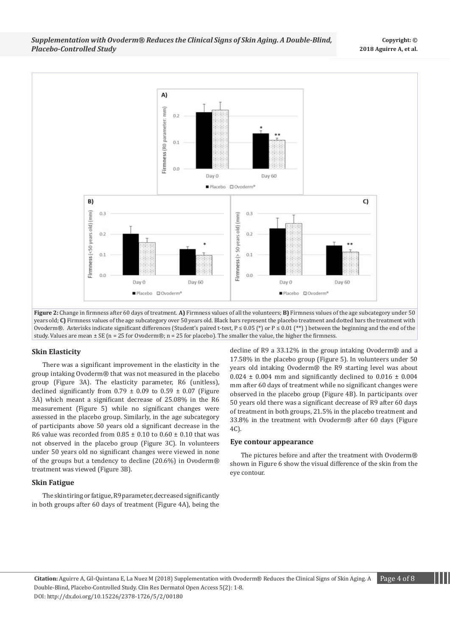*Supplementation with Ovoderm® Reduces the Clinical Signs of Skin Aging. A Double-Blind, Placebo-Controlled Study*



**Figure 2:** Change in firmness after 60 days of treatment. **A)** Firmness values of all the volunteers; **B)** Firmness values of the age subcategory under 50 years old; **C)** Firmness values of the age subcategory over 50 years old. Black bars represent the placebo treatment and dotted bars the treatment with Ovoderm®. Asterisks indicate significant differences (Student's paired t-test, P ≤ 0.05 (\*) or P ≤ 0.01 (\*\*)) between the beginning and the end of the study. Values are mean  $\pm$  SE (n = 25 for Ovoderm®; n = 25 for placebo). The smaller the value, the higher the firmness.

#### **Skin Elasticity**

There was a significant improvement in the elasticity in the group intaking Ovoderm® that was not measured in the placebo group (Figure 3A). The elasticity parameter, R6 (unitless), declined significantly from  $0.79 \pm 0.09$  to  $0.59 \pm 0.07$  (Figure 3A) which meant a significant decrease of 25.08% in the R6 measurement (Figure 5) while no significant changes were assessed in the placebo group. Similarly, in the age subcategory of participants above 50 years old a significant decrease in the R6 value was recorded from  $0.85 \pm 0.10$  to  $0.60 \pm 0.10$  that was not observed in the placebo group (Figure 3C). In volunteers under 50 years old no significant changes were viewed in none of the groups but a tendency to decline (20.6%) in Ovoderm® treatment was viewed (Figure 3B).

#### **Skin Fatigue**

The skin tiring or fatigue, R9 parameter, decreased significantly in both groups after 60 days of treatment (Figure 4A), being the decline of R9 a 33.12% in the group intaking Ovoderm® and a 17.58% in the placebo group (Figure 5). In volunteers under 50 years old intaking Ovoderm® the R9 starting level was about  $0.024 \pm 0.004$  mm and significantly declined to  $0.016 \pm 0.004$ mm after 60 days of treatment while no significant changes were observed in the placebo group (Figure 4B). In participants over 50 years old there was a significant decrease of R9 after 60 days of treatment in both groups, 21.5% in the placebo treatment and 33.8% in the treatment with Ovoderm® after 60 days (Figure 4C).

#### **Eye contour appearance**

The pictures before and after the treatment with Ovoderm® shown in Figure 6 show the visual difference of the skin from the eye contour.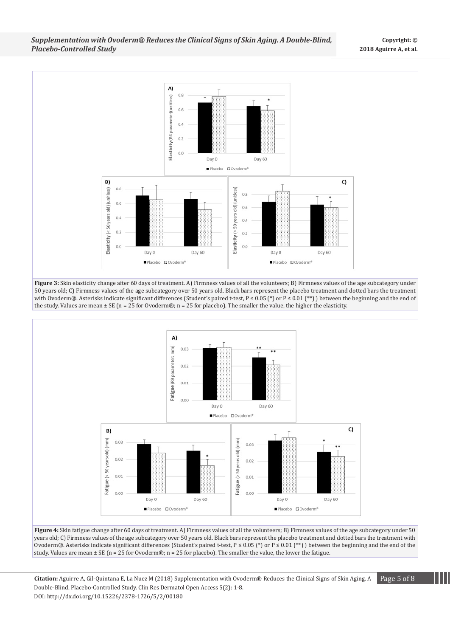*Supplementation with Ovoderm® Reduces the Clinical Signs of Skin Aging. A Double-Blind, Placebo-Controlled Study*



**Figure 3:** Skin elasticity change after 60 days of treatment. A) Firmness values of all the volunteers; B) Firmness values of the age subcategory under 50 years old; C) Firmness values of the age subcategory over 50 years old. Black bars represent the placebo treatment and dotted bars the treatment with Ovoderm®. Asterisks indicate significant differences (Student's paired t-test,  $P \le 0.05$  (\*) or  $P \le 0.01$  (\*\*)) between the beginning and the end of the study. Values are mean  $\pm$  SE (n = 25 for Ovoderm®; n = 25 for placebo). The smaller the value, the higher the elasticity.



**Figure 4:** Skin fatigue change after 60 days of treatment. A) Firmness values of all the volunteers; B) Firmness values of the age subcategory under 50 years old; C) Firmness values of the age subcategory over 50 years old. Black bars represent the placebo treatment and dotted bars the treatment with Ovoderm®. Asterisks indicate significant differences (Student's paired t-test, P ≤ 0.05 (\*) or P ≤ 0.01 (\*\*)) between the beginning and the end of the study. Values are mean  $\pm$  SE (n = 25 for Ovoderm®; n = 25 for placebo). The smaller the value, the lower the fatigue.

**Citation:** Aguirre A, Gil-Quintana E, La Nuez M (2018) Supplementation with Ovoderm® Reduces the Clinical Signs of Skin Aging. A Page 5 of 8 Double-Blind, Placebo-Controlled Study. Clin Res Dermatol Open Access 5(2): 1-8. DOI: http://dx.doi.org/10.15226/2378-1726/5/2/00180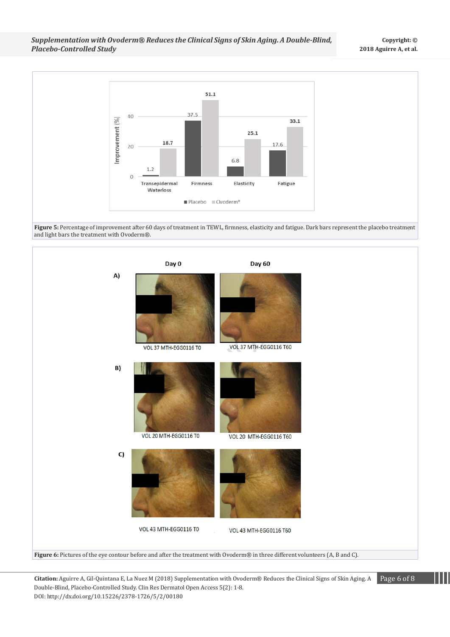

**Figure 5:** Percentage of improvement after 60 days of treatment in TEWL, firmness, elasticity and fatigue. Dark bars represent the placebo treatment and light bars the treatment with Ovoderm®.



**Citation:** Aguirre A, Gil-Quintana E, La Nuez M (2018) Supplementation with Ovoderm® Reduces the Clinical Signs of Skin Aging. A Page 6 of 8 Double-Blind, Placebo-Controlled Study. Clin Res Dermatol Open Access 5(2): 1-8. DOI: http://dx.doi.org/10.15226/2378-1726/5/2/00180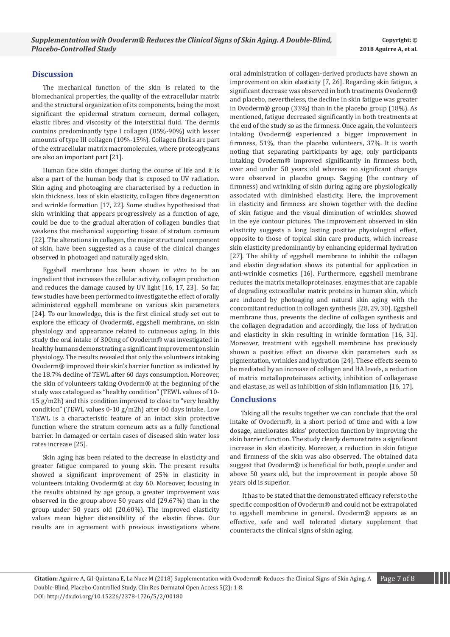## **Discussion**

The mechanical function of the skin is related to the biomechanical properties, the quality of the extracellular matrix and the structural organization of its components, being the most significant the epidermal stratum corneum, dermal collagen, elastic fibres and viscosity of the interstitial fluid. The dermis contains predominantly type I collagen (85%-90%) with lesser amounts of type III collagen (10%-15%). Collagen fibrils are part of the extracellular matrix macromolecules, where proteoglycans are also an important part [21].

Human face skin changes during the course of life and it is also a part of the human body that is exposed to UV radiation. Skin aging and photoaging are characterised by a reduction in skin thickness, loss of skin elasticity, collagen fibre degeneration and wrinkle formation [17, 22]. Some studies hypothesised that skin wrinkling that appears progressively as a function of age, could be due to the gradual alteration of collagen bundles that weakens the mechanical supporting tissue of stratum corneum [22]. The alterations in collagen, the major structural component of skin, have been suggested as a cause of the clinical changes observed in photoaged and naturally aged skin.

Eggshell membrane has been shown *in vitro* to be an ingredient that increases the cellular activity, collagen production and reduces the damage caused by UV light [16, 17, 23]. So far, few studies have been performed to investigate the effect of orally administered eggshell membrane on various skin parameters [24]. To our knowledge, this is the first clinical study set out to explore the efficacy of Ovoderm®, eggshell membrane, on skin physiology and appearance related to cutaneous aging. In this study the oral intake of 300mg of Ovoderm® was investigated in healthy humans demonstrating a significant improvement on skin physiology. The results revealed that only the volunteers intaking Ovoderm® improved their skin's barrier function as indicated by the 18.7% decline of TEWL after 60 days consumption. Moreover, the skin of volunteers taking Ovoderm® at the beginning of the study was catalogued as "healthy condition" (TEWL values of 10- 15 g/m2h) and this condition improved to close to "very healthy condition" (TEWL values 0-10 g/m2h) after 60 days intake. Low TEWL is a characteristic feature of an intact skin protective function where the stratum corneum acts as a fully functional barrier. In damaged or certain cases of diseased skin water loss rates increase [25].

Skin aging has been related to the decrease in elasticity and greater fatigue compared to young skin. The present results showed a significant improvement of 25% in elasticity in volunteers intaking Ovoderm® at day 60. Moreover, focusing in the results obtained by age group, a greater improvement was observed in the group above 50 years old (29.67%) than in the group under 50 years old (20.60%). The improved elasticity values mean higher distensibility of the elastin fibres. Our results are in agreement with previous investigations where oral administration of collagen-derived products have shown an improvement on skin elasticity [7, 26]. Regarding skin fatigue, a significant decrease was observed in both treatments Ovoderm® and placebo, nevertheless, the decline in skin fatigue was greater in Ovoderm® group (33%) than in the placebo group (18%). As mentioned, fatigue decreased significantly in both treatments at the end of the study so as the firmness. Once again, the volunteers intaking Ovoderm® experienced a bigger improvement in firmness, 51%, than the placebo volunteers, 37%. It is worth noting that separating participants by age, only participants intaking Ovoderm® improved significantly in firmness both, over and under 50 years old whereas no significant changes were observed in placebo group. Sagging (the contrary of firmness) and wrinkling of skin during aging are physiologically associated with diminished elasticity. Here, the improvement in elasticity and firmness are shown together with the decline of skin fatigue and the visual diminution of wrinkles showed in the eye contour pictures. The improvement observed in skin elasticity suggests a long lasting positive physiological effect, opposite to those of topical skin care products, which increase skin elasticity predominantly by enhancing epidermal hydration [27]. The ability of eggshell membrane to inhibit the collagen and elastin degradation shows its potential for application in anti-wrinkle cosmetics [16]. Furthermore, eggshell membrane reduces the matrix metalloproteinases, enzymes that are capable of degrading extracellular matrix proteins in human skin, which are induced by photoaging and natural skin aging with the concomitant reduction in collagen synthesis [28, 29, 30]. Eggshell membrane thus, prevents the decline of collagen synthesis and the collagen degradation and accordingly, the loss of hydration and elasticity in skin resulting in wrinkle formation [16, 31]. Moreover, treatment with eggshell membrane has previously shown a positive effect on diverse skin parameters such as pigmentation, wrinkles and hydration [24]. These effects seem to be mediated by an increase of collagen and HA levels, a reduction of matrix metalloproteinases activity, inhibition of collagenase and elastase, as well as inhibition of skin inflammation [16, 17].

## **Conclusions**

Taking all the results together we can conclude that the oral intake of Ovoderm®, in a short period of time and with a low dosage, ameliorates skins' protection function by improving the skin barrier function. The study clearly demonstrates a significant increase in skin elasticity. Moreover, a reduction in skin fatigue and firmness of the skin was also observed. The obtained data suggest that Ovoderm® is beneficial for both, people under and above 50 years old, but the improvement in people above 50 years old is superior.

 It has to be stated that the demonstrated efficacy refers to the specific composition of Ovoderm<sup>®</sup> and could not be extrapolated to eggshell membrane in general. Ovoderm® appears as an effective, safe and well tolerated dietary supplement that counteracts the clinical signs of skin aging.

**Citation:** Aguirre A, Gil-Quintana E, La Nuez M (2018) Supplementation with Ovoderm® Reduces the Clinical Signs of Skin Aging. A Page 7 of 8 Double-Blind, Placebo-Controlled Study. Clin Res Dermatol Open Access 5(2): 1-8. DOI: http://dx.doi.org/10.15226/2378-1726/5/2/00180